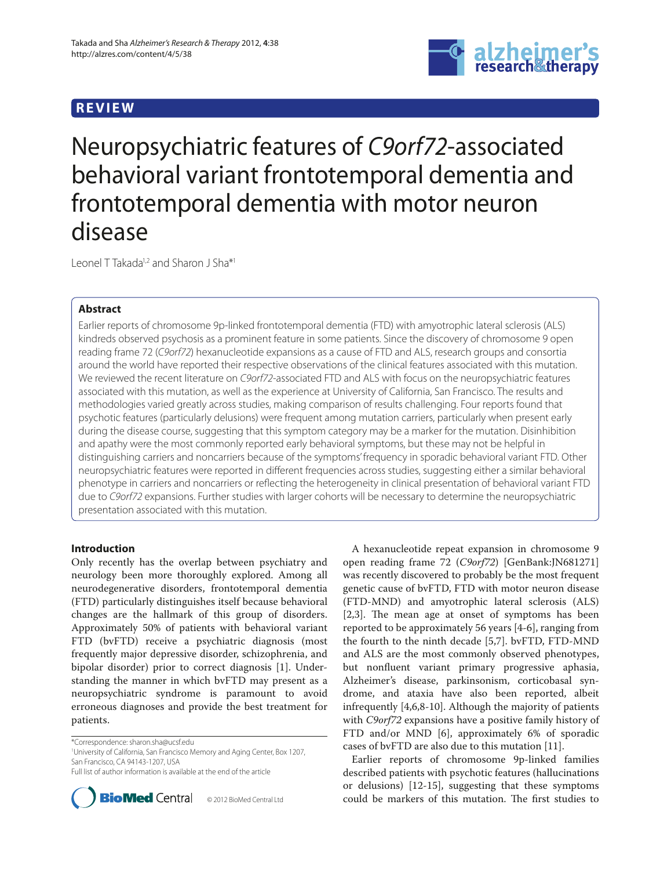# **REVIEW**



Neuropsychiatric features of C9orf72-associated behavioral variant frontotemporal dementia and frontotemporal dementia with motor neuron disease

Leonel T Takada<sup>1,2</sup> and Sharon J Sha<sup>\*1</sup>

# **Abstract**

Earlier reports of chromosome 9p-linked frontotemporal dementia (FTD) with amyotrophic lateral sclerosis (ALS) kindreds observed psychosis as a prominent feature in some patients. Since the discovery of chromosome 9 open reading frame 72 (C9orf72) hexanucleotide expansions as a cause of FTD and ALS, research groups and consortia around the world have reported their respective observations of the clinical features associated with this mutation. We reviewed the recent literature on C9orf72-associated FTD and ALS with focus on the neuropsychiatric features associated with this mutation, as well as the experience at University of California, San Francisco. The results and methodologies varied greatly across studies, making comparison of results challenging. Four reports found that psychotic features (particularly delusions) were frequent among mutation carriers, particularly when present early during the disease course, suggesting that this symptom category may be a marker for the mutation. Disinhibition and apathy were the most commonly reported early behavioral symptoms, but these may not be helpful in distinguishing carriers and noncarriers because of the symptoms' frequency in sporadic behavioral variant FTD. Other neuropsychiatric features were reported in different frequencies across studies, suggesting either a similar behavioral phenotype in carriers and noncarriers or reflecting the heterogeneity in clinical presentation of behavioral variant FTD due to C9orf72 expansions. Further studies with larger cohorts will be necessary to determine the neuropsychiatric presentation associated with this mutation.

# **Introduction**

Only recently has the overlap between psychiatry and neurology been more thoroughly explored. Among all neuro degenerative disorders, frontotemporal dementia (FTD) particularly distinguishes itself because behavioral changes are the hallmark of this group of disorders. Approximately 50% of patients with behavioral variant FTD (bvFTD) receive a psychiatric diagnosis (most frequently major depressive disorder, schizophrenia, and bipolar disorder) prior to correct diagnosis [1]. Understanding the manner in which bvFTD may present as a neuropsychiatric syn drome is paramount to avoid erroneous diagnoses and provide the best treatment for patients.

\*Correspondence: sharon.sha@ucsf.edu

1 University of California, San Francisco Memory and Aging Center, Box 1207, San Francisco, CA 94143-1207, USA

Full list of author information is available at the end of the article



© 2012 BioMed Central Ltd

A hexanucleotide repeat expansion in chromosome 9 open reading frame 72 (*C9orf72*) [GenBank:JN681271] was recently discovered to probably be the most frequent genetic cause of bvFTD, FTD with motor neuron disease (FTD-MND) and amyotrophic lateral sclerosis (ALS) [2,3]. The mean age at onset of symptoms has been reported to be approximately 56 years [4-6], ranging from the fourth to the ninth decade [5,7]. bvFTD, FTD-MND and ALS are the most commonly observed phenotypes, but nonfluent variant primary progressive aphasia, Alzheimer's disease, parkinsonism, corticobasal syndrome, and ataxia have also been reported, albeit infrequently [4,6,8-10]. Although the majority of patients with *C9orf72* expansions have a positive family history of FTD and/or MND [6], approximately 6% of sporadic cases of bvFTD are also due to this mutation [11].

Earlier reports of chromosome 9p-linked families described patients with psychotic features (hallucinations or delusions) [12-15], suggesting that these symptoms could be markers of this mutation. The first studies to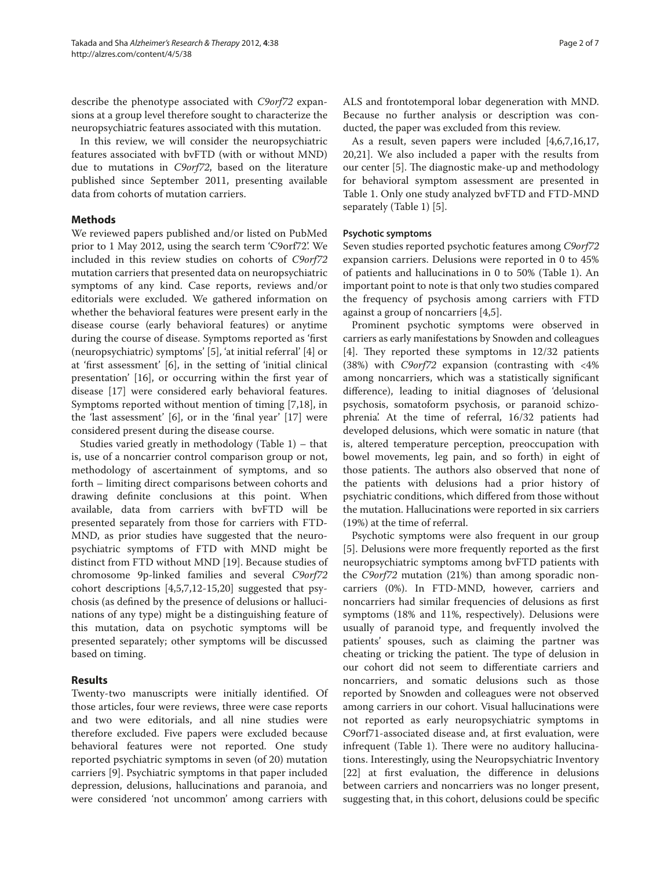describe the phenotype associated with *C9orf72* expansions at a group level therefore sought to characterize the neuropsychiatric features associated with this mutation.

In this review, we will consider the neuropsychiatric features associated with bvFTD (with or without MND) due to mutations in *C9orf72*, based on the literature published since September 2011, presenting available data from cohorts of mutation carriers.

### **Methods**

We reviewed papers published and/or listed on PubMed prior to 1 May 2012, using the search term 'C9orf72'. We included in this review studies on cohorts of *C9orf72* mutation carriers that presented data on neuropsychiatric symptoms of any kind. Case reports, reviews and/or editorials were excluded. We gathered information on whether the behavioral features were present early in the disease course (early behavioral features) or anytime during the course of disease. Symptoms reported as 'first (neuropsychiatric) symptoms' [5], 'at initial referral' [4] or at 'first assessment' [6], in the setting of 'initial clinical presentation' [16], or occurring within the first year of disease [17] were considered early behavioral features. Symptoms reported without mention of timing [7,18], in the 'last assessment'  $[6]$ , or in the 'final year'  $[17]$  were considered present during the disease course.

Studies varied greatly in methodology (Table 1) – that is, use of a noncarrier control comparison group or not, methodology of ascertainment of symptoms, and so forth – limiting direct comparisons between cohorts and drawing definite conclusions at this point. When available, data from carriers with bvFTD will be presented separately from those for carriers with FTD-MND, as prior studies have suggested that the neuropsychiatric symptoms of FTD with MND might be distinct from FTD without MND [19]. Because studies of chromosome 9p-linked families and several *C9orf72* cohort descriptions [4,5,7,12-15,20] suggested that psychosis (as defined by the presence of delusions or hallucinations of any type) might be a distinguishing feature of this mutation, data on psychotic symptoms will be presented separately; other symptoms will be discussed based on timing.

# **Results**

Twenty-two manuscripts were initially identified. Of those articles, four were reviews, three were case reports and two were editorials, and all nine studies were therefore excluded. Five papers were excluded because behavioral features were not reported. One study reported psychiatric symptoms in seven (of 20) mutation carriers [9]. Psychiatric symptoms in that paper included depression, delusions, hallucinations and paranoia, and were considered 'not uncommon' among carriers with

ALS and frontotemporal lobar degeneration with MND. Because no further analysis or description was conducted, the paper was excluded from this review.

As a result, seven papers were included [4,6,7,16,17, 20,21]. We also included a paper with the results from our center [5]. The diagnostic make-up and methodology for behavioral symptom assessment are presented in Table 1. Only one study analyzed bvFTD and FTD-MND separately (Table 1) [5].

### **Psychotic symptoms**

Seven studies reported psychotic features among *C9orf72* expansion carriers. Delusions were reported in 0 to 45% of patients and hallucinations in 0 to 50% (Table 1). An important point to note is that only two studies compared the frequency of psychosis among carriers with FTD against a group of noncarriers [4,5].

Prominent psychotic symptoms were observed in carriers as early manifestations by Snowden and colleagues [4]. They reported these symptoms in 12/32 patients (38%) with *C9orf72* expansion (contrasting with <4% among noncarriers, which was a statistically significant difference), leading to initial diagnoses of 'delusional psychosis, somatoform psychosis, or paranoid schizophrenia'. At the time of referral, 16/32 patients had developed delusions, which were somatic in nature (that is, altered temperature perception, preoccupation with bowel movements, leg pain, and so forth) in eight of those patients. The authors also observed that none of the patients with delusions had a prior history of psychiatric conditions, which differed from those without the mutation. Hallucinations were reported in six carriers (19%) at the time of referral.

Psychotic symptoms were also frequent in our group [5]. Delusions were more frequently reported as the first neuropsychiatric symptoms among bvFTD patients with the *C9orf72* mutation (21%) than among sporadic noncarriers (0%). In FTD-MND, however, carriers and noncarriers had similar frequencies of delusions as first symptoms (18% and 11%, respectively). Delusions were usually of paranoid type, and frequently involved the patients' spouses, such as claiming the partner was cheating or tricking the patient. The type of delusion in our cohort did not seem to differentiate carriers and noncarriers, and somatic delusions such as those reported by Snowden and colleagues were not observed among carriers in our cohort. Visual hallucinations were not reported as early neuropsychiatric symptoms in C9orf71-associated disease and, at first evaluation, were infrequent (Table 1). There were no auditory hallucinations. Interestingly, using the Neuropsychiatric Inventory  $[22]$  at first evaluation, the difference in delusions between carriers and noncarriers was no longer present, suggesting that, in this cohort, delusions could be specific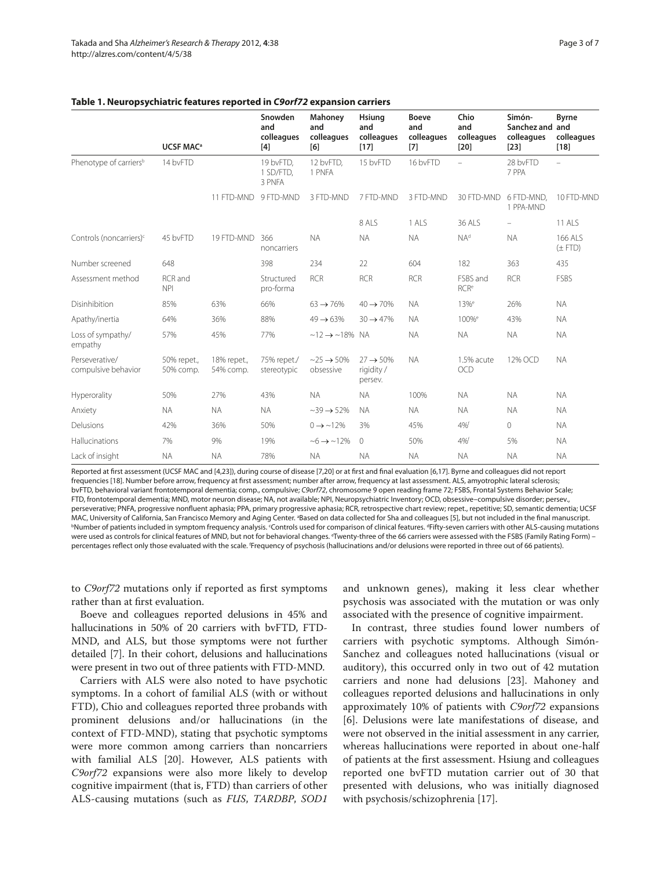|                                       | <b>UCSF MAC<sup>a</sup></b> |                          | Snowden<br>and<br>colleagues<br>$[4]$ | Mahoney<br>and<br>colleagues<br>[6]      | Hsiung<br>and<br>colleagues<br>$[17]$         | <b>Boeve</b><br>and<br>colleagues<br>$[7]$ | Chio<br>and<br>colleagues<br>$[20]$ | Simón-<br>Sanchez and and<br>colleagues<br>$[23]$ | <b>Byrne</b><br>colleagues<br>$[18]$ |
|---------------------------------------|-----------------------------|--------------------------|---------------------------------------|------------------------------------------|-----------------------------------------------|--------------------------------------------|-------------------------------------|---------------------------------------------------|--------------------------------------|
| Phenotype of carriers <sup>b</sup>    | 14 bvFTD                    |                          | 19 bvFTD,<br>1 SD/FTD.<br>3 PNFA      | 12 bvFTD,<br>1 PNFA                      | 15 bvFTD                                      | 16 bvFTD                                   | $\equiv$                            | 28 bvFTD<br>7 PPA                                 | $\sim$                               |
|                                       |                             | 11 FTD-MND               | 9 FTD-MND                             | 3 FTD-MND                                | 7 FTD-MND                                     | 3 FTD-MND                                  | 30 FTD-MND                          | 6 FTD-MND.<br>1 PPA-MND                           | 10 FTD-MND                           |
|                                       |                             |                          |                                       |                                          | 8 ALS                                         | 1 ALS                                      | 36 ALS                              |                                                   | <b>11 ALS</b>                        |
| Controls (noncarriers) <sup>c</sup>   | 45 bvFTD                    | 19 FTD-MND               | 366<br>noncarriers                    | <b>NA</b>                                | <b>NA</b>                                     | <b>NA</b>                                  | NA <sup>d</sup>                     | <b>NA</b>                                         | 166 ALS<br>$(\pm FTD)$               |
| Number screened                       | 648                         |                          | 398                                   | 234                                      | 22                                            | 604                                        | 182                                 | 363                                               | 435                                  |
| Assessment method                     | RCR and<br><b>NPI</b>       |                          | Structured<br>pro-forma               | <b>RCR</b>                               | <b>RCR</b>                                    | <b>RCR</b>                                 | FSBS and<br><b>RCR<sup>e</sup></b>  | <b>RCR</b>                                        | FSBS                                 |
| Disinhibition                         | 85%                         | 63%                      | 66%                                   | $63 \rightarrow 76\%$                    | $40 \rightarrow 70\%$                         | <b>NA</b>                                  | 13% <sup>e</sup>                    | 26%                                               | <b>NA</b>                            |
| Apathy/inertia                        | 64%                         | 36%                      | 88%                                   | $49 \rightarrow 63\%$                    | $30 \rightarrow 47\%$                         | <b>NA</b>                                  | 100% <sup>e</sup>                   | 43%                                               | <b>NA</b>                            |
| Loss of sympathy/<br>empathy          | 57%                         | 45%                      | 77%                                   | $~12 \rightarrow ~18\%$ NA               |                                               | <b>NA</b>                                  | <b>NA</b>                           | <b>NA</b>                                         | <b>NA</b>                            |
| Perseverative/<br>compulsive behavior | 50% repet.,<br>50% comp.    | 18% repet.,<br>54% comp. | 75% repet./<br>stereotypic            | $\sim$ 25 $\rightarrow$ 50%<br>obsessive | $27 \rightarrow 50\%$<br>rigidity/<br>persev. | <b>NA</b>                                  | 1.5% acute<br><b>OCD</b>            | 12% OCD                                           | <b>NA</b>                            |
| Hyperorality                          | 50%                         | 27%                      | 43%                                   | <b>NA</b>                                | <b>NA</b>                                     | 100%                                       | <b>NA</b>                           | <b>NA</b>                                         | <b>NA</b>                            |
| Anxiety                               | <b>NA</b>                   | <b>NA</b>                | <b>NA</b>                             | $\sim$ 39 $\rightarrow$ 52%              | <b>NA</b>                                     | <b>NA</b>                                  | <b>NA</b>                           | <b>NA</b>                                         | <b>NA</b>                            |
| Delusions                             | 42%                         | 36%                      | 50%                                   | $0 \rightarrow 12\%$                     | 3%                                            | 45%                                        | 4%f                                 | $\overline{0}$                                    | <b>NA</b>                            |
| Hallucinations                        | 7%                          | 9%                       | 19%                                   | $~12\%$                                  | $\circ$                                       | 50%                                        | 4%f                                 | 5%                                                | <b>NA</b>                            |
| Lack of insight                       | <b>NA</b>                   | <b>NA</b>                | 78%                                   | <b>NA</b>                                | <b>NA</b>                                     | <b>NA</b>                                  | <b>NA</b>                           | <b>NA</b>                                         | <b>NA</b>                            |

### **Table 1. Neuropsychiatric features reported in** *C9orf72* **expansion carriers**

Reported at first assessment (UCSF MAC and [4,23]), during course of disease [7,20] or at first and final evaluation [6,17]. Byrne and colleagues did not report frequencies [18]. Number before arrow, frequency at first assessment; number after arrow, frequency at last assessment. ALS, amyotrophic lateral sclerosis; bvFTD, behavioral variant frontotemporal dementia; comp., compulsive; C9orf72, chromosome 9 open reading frame 72; FSBS, Frontal Systems Behavior Scale; FTD, frontotemporal dementia; MND, motor neuron disease; NA, not available; NPI, Neuropsychiatric Inventory; OCD, obsessive–compulsive disorder; persev., perseverative; PNFA, progressive nonfluent aphasia; PPA, primary progressive aphasia; RCR, retrospective chart review; repet., repetitive; SD, semantic dementia; UCSF MAC, University of California, San Francisco Memory and Aging Center. <sup>a</sup>Based on data collected for Sha and colleagues [5], but not included in the final manuscript. <sup>b</sup>Number of patients included in symptom frequency analysis. °Controls used for comparison of clinical features. <sup>d</sup>Fifty-seven carriers with other ALS-causing mutations were used as controls for clinical features of MND, but not for behavioral changes. "Twenty-three of the 66 carriers were assessed with the FSBS (Family Rating Form) – percentages reflect only those evaluated with the scale. <sup>f</sup>Frequency of psychosis (hallucinations and/or delusions were reported in three out of 66 patients).

to *C9orf72* mutations only if reported as first symptoms rather than at first evaluation.

Boeve and colleagues reported delusions in 45% and hallucinations in 50% of 20 carriers with bvFTD, FTD-MND, and ALS, but those symptoms were not further detailed [7]. In their cohort, delusions and hallucinations were present in two out of three patients with FTD-MND.

Carriers with ALS were also noted to have psychotic symptoms. In a cohort of familial ALS (with or without FTD), Chio and colleagues reported three probands with prominent delusions and/or hallucinations (in the context of FTD-MND), stating that psychotic symptoms were more common among carriers than noncarriers with familial ALS [20]. However, ALS patients with *C9orf72* expansions were also more likely to develop cognitive impairment (that is, FTD) than carriers of other ALS-causing mutations (such as *FUS*, *TARDBP*, *SOD1* and unknown genes), making it less clear whether psychosis was associated with the mutation or was only associated with the presence of cognitive impairment.

In contrast, three studies found lower numbers of carriers with psychotic symptoms. Although Simón-Sanchez and colleagues noted hallucinations (visual or auditory), this occurred only in two out of 42 mutation carriers and none had delusions [23]. Mahoney and colleagues reported delusions and hallucinations in only approximately 10% of patients with *C9orf72* expansions [6]. Delusions were late manifestations of disease, and were not observed in the initial assessment in any carrier, whereas hallucinations were reported in about one-half of patients at the first assessment. Hsiung and colleagues reported one bvFTD mutation carrier out of 30 that presented with delusions, who was initially diagnosed with psychosis/schizophrenia [17].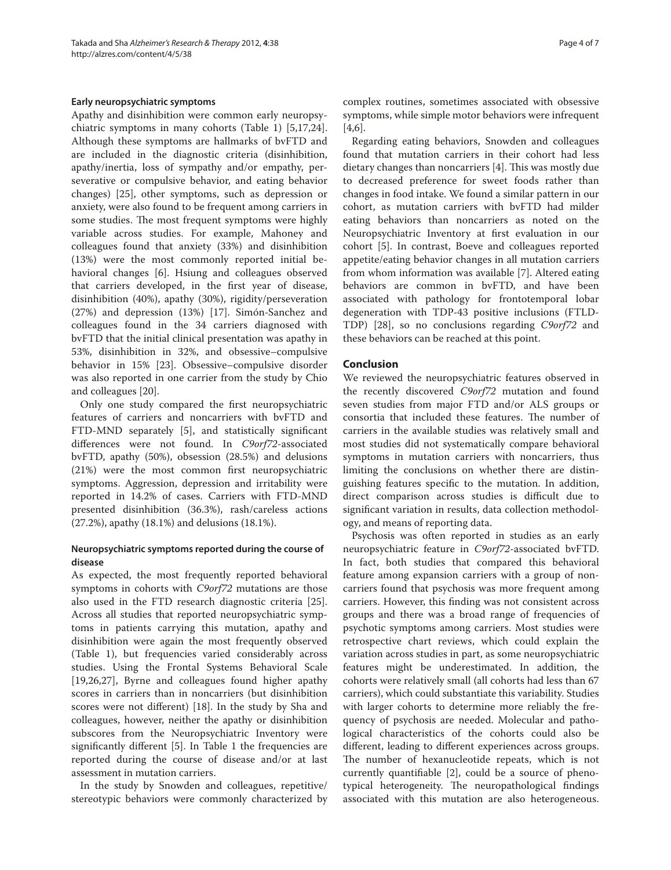### **Early neuropsychiatric symptoms**

Apathy and disinhibition were common early neuropsychiatric symptoms in many cohorts (Table 1) [5,17,24]. Although these symptoms are hallmarks of bvFTD and are included in the diagnostic criteria (disinhibition, apathy/inertia, loss of sympathy and/or empathy, perseverative or compulsive behavior, and eating behavior changes) [25], other symptoms, such as depression or anxiety, were also found to be frequent among carriers in some studies. The most frequent symptoms were highly variable across studies. For example, Mahoney and colleagues found that anxiety (33%) and disinhibition (13%) were the most commonly reported initial behavioral changes [6]. Hsiung and colleagues observed that carriers developed, in the first year of disease, disinhibition (40%), apathy (30%), rigidity/perseveration (27%) and depression (13%) [17]. Simón-Sanchez and colleagues found in the 34 carriers diagnosed with bvFTD that the initial clinical presentation was apathy in 53%, disinhibition in 32%, and obsessive–compulsive behavior in 15% [23]. Obsessive–compulsive disorder was also reported in one carrier from the study by Chio and colleagues [20].

Only one study compared the first neuropsychiatric features of carriers and noncarriers with bvFTD and FTD-MND separately [5], and statistically significant differences were not found. In *C9orf72-associated* bvFTD, apathy (50%), obsession (28.5%) and delusions  $(21%)$  were the most common first neuropsychiatric symptoms. Aggression, depression and irritability were reported in 14.2% of cases. Carriers with FTD-MND presented disinhibition (36.3%), rash/careless actions (27.2%), apathy (18.1%) and delusions (18.1%).

### **Neuropsychiatric symptoms reported during the course of disease**

As expected, the most frequently reported behavioral symptoms in cohorts with *C9orf72* mutations are those also used in the FTD research diagnostic criteria [25]. Across all studies that reported neuropsychiatric symptoms in patients carrying this mutation, apathy and disinhibition were again the most frequently observed (Table 1), but frequencies varied considerably across studies. Using the Frontal Systems Behavioral Scale [19,26,27], Byrne and colleagues found higher apathy scores in carriers than in noncarriers (but disinhibition scores were not different) [18]. In the study by Sha and colleagues, however, neither the apathy or disinhibition subscores from the Neuropsychiatric Inventory were significantly different  $[5]$ . In Table 1 the frequencies are reported during the course of disease and/or at last assessment in mutation carriers.

In the study by Snowden and colleagues, repetitive/ stereotypic behaviors were commonly characterized by complex routines, sometimes associated with obsessive symptoms, while simple motor behaviors were infrequent [4,6].

Regarding eating behaviors, Snowden and colleagues found that mutation carriers in their cohort had less dietary changes than noncarriers [4]. This was mostly due to decreased preference for sweet foods rather than changes in food intake. We found a similar pattern in our cohort, as mutation carriers with bvFTD had milder eating behaviors than noncarriers as noted on the Neuropsychiatric Inventory at first evaluation in our cohort [5]. In contrast, Boeve and colleagues reported appetite/eating behavior changes in all mutation carriers from whom information was available [7]. Altered eating behaviors are common in bvFTD, and have been associated with pathology for frontotemporal lobar degeneration with TDP-43 positive inclusions (FTLD-TDP) [28], so no conclusions regarding *C9orf72* and these behaviors can be reached at this point.

### **Conclusion**

We reviewed the neuropsychiatric features observed in the recently discovered *C9orf72* mutation and found seven studies from major FTD and/or ALS groups or consortia that included these features. The number of carriers in the available studies was relatively small and most studies did not systematically compare behavioral symptoms in mutation carriers with noncarriers, thus limiting the conclusions on whether there are distinguishing features specific to the mutation. In addition, direct comparison across studies is difficult due to significant variation in results, data collection methodology, and means of reporting data.

Psychosis was often reported in studies as an early neuropsychiatric feature in *C9orf72*-associated bvFTD. In fact, both studies that compared this behavioral feature among expansion carriers with a group of noncarriers found that psychosis was more frequent among carriers. However, this finding was not consistent across groups and there was a broad range of frequencies of psychotic symptoms among carriers. Most studies were retrospective chart reviews, which could explain the variation across studies in part, as some neuropsychiatric features might be underestimated. In addition, the cohorts were relatively small (all cohorts had less than 67 carriers), which could substantiate this variability. Studies with larger cohorts to determine more reliably the frequency of psychosis are needed. Molecular and pathological characteristics of the cohorts could also be different, leading to different experiences across groups. The number of hexanucleotide repeats, which is not currently quantifiable  $[2]$ , could be a source of phenotypical heterogeneity. The neuropathological findings associated with this mutation are also heterogeneous.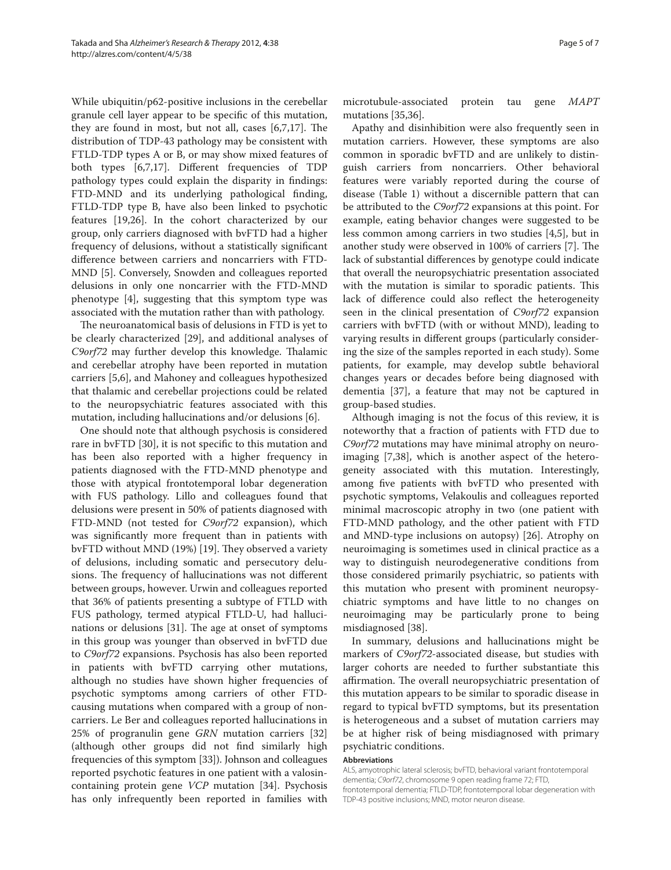While ubiquitin/p62-positive inclusions in the cerebellar granule cell layer appear to be specific of this mutation, they are found in most, but not all, cases  $[6,7,17]$ . The distribution of TDP-43 pathology may be consistent with FTLD-TDP types A or B, or may show mixed features of both types  $[6,7,17]$ . Different frequencies of TDP pathology types could explain the disparity in findings: FTD-MND and its underlying pathological finding, FTLD-TDP type B, have also been linked to psychotic features [19,26]. In the cohort characterized by our group, only carriers diagnosed with bvFTD had a higher frequency of delusions, without a statistically significant difference between carriers and noncarriers with FTD-MND [5]. Conversely, Snowden and colleagues reported delusions in only one noncarrier with the FTD-MND phenotype [4], suggesting that this symptom type was associated with the mutation rather than with pathology.

The neuroanatomical basis of delusions in FTD is yet to be clearly characterized [29], and additional analyses of *C9orf72* may further develop this knowledge. Thalamic and cerebellar atrophy have been reported in mutation carriers [5,6], and Mahoney and colleagues hypothesized that thalamic and cerebellar projections could be related to the neuropsychiatric features associated with this mutation, including hallucinations and/or delusions [6].

One should note that although psychosis is considered rare in bvFTD [30], it is not specific to this mutation and has been also reported with a higher frequency in patients diagnosed with the FTD-MND phenotype and those with atypical frontotemporal lobar degeneration with FUS pathology. Lillo and colleagues found that delusions were present in 50% of patients diagnosed with FTD-MND (not tested for *C9orf72* expansion), which was significantly more frequent than in patients with bvFTD without MND (19%) [19]. They observed a variety of delusions, including somatic and persecutory delusions. The frequency of hallucinations was not different between groups, however. Urwin and colleagues reported that 36% of patients presenting a subtype of FTLD with FUS pathology, termed atypical FTLD-U, had hallucinations or delusions [31]. The age at onset of symptoms in this group was younger than observed in bvFTD due to *C9orf72* expansions. Psychosis has also been reported in patients with bvFTD carrying other mutations, although no studies have shown higher frequencies of psychotic symptoms among carriers of other FTDcausing mutations when compared with a group of noncarriers. Le Ber and colleagues reported hallucinations in 25% of progranulin gene *GRN* mutation carriers [32] (although other groups did not find similarly high frequencies of this symptom [33]). Johnson and colleagues reported psychotic features in one patient with a valosincontaining protein gene *VCP* mutation [34]. Psychosis has only infrequently been reported in families with microtubule-associated protein tau gene *MAPT* mutations [35,36].

Apathy and disinhibition were also frequently seen in mutation carriers. However, these symptoms are also common in sporadic bvFTD and are unlikely to distinguish carriers from noncarriers. Other behavioral features were variably reported during the course of disease (Table 1) without a discernible pattern that can be attributed to the *C9orf72* expansions at this point. For example, eating behavior changes were suggested to be less common among carriers in two studies [4,5], but in another study were observed in 100% of carriers [7]. The lack of substantial differences by genotype could indicate that overall the neuropsychiatric presentation associated with the mutation is similar to sporadic patients. This lack of difference could also reflect the heterogeneity seen in the clinical presentation of *C9orf72* expansion carriers with bvFTD (with or without MND), leading to varying results in different groups (particularly considering the size of the samples reported in each study). Some patients, for example, may develop subtle behavioral changes years or decades before being diagnosed with dementia [37], a feature that may not be captured in group-based studies.

Although imaging is not the focus of this review, it is noteworthy that a fraction of patients with FTD due to *C9orf72* mutations may have minimal atrophy on neuroimaging [7,38], which is another aspect of the heterogeneity associated with this mutation. Interestingly, among five patients with bvFTD who presented with psychotic symptoms, Velakoulis and colleagues reported minimal macroscopic atrophy in two (one patient with FTD-MND pathology, and the other patient with FTD and MND-type inclusions on autopsy) [26]. Atrophy on neuroimaging is sometimes used in clinical practice as a way to distinguish neurodegenerative conditions from those considered primarily psychiatric, so patients with this mutation who present with prominent neuropsychiatric symptoms and have little to no changes on neuroimaging may be particularly prone to being misdiagnosed [38].

In summary, delusions and hallucinations might be markers of *C9orf72*-associated disease, but studies with larger cohorts are needed to further substantiate this affirmation. The overall neuropsychiatric presentation of this mutation appears to be similar to sporadic disease in regard to typical bvFTD symptoms, but its presentation is heterogeneous and a subset of mutation carriers may be at higher risk of being misdiagnosed with primary psychiatric conditions.

### **Abbreviations**

ALS, amyotrophic lateral sclerosis; bvFTD, behavioral variant frontotemporal dementia; C9orf72, chromosome 9 open reading frame 72; FTD, frontotemporal dementia; FTLD-TDP, frontotemporal lobar degeneration with TDP-43 positive inclusions; MND, motor neuron disease.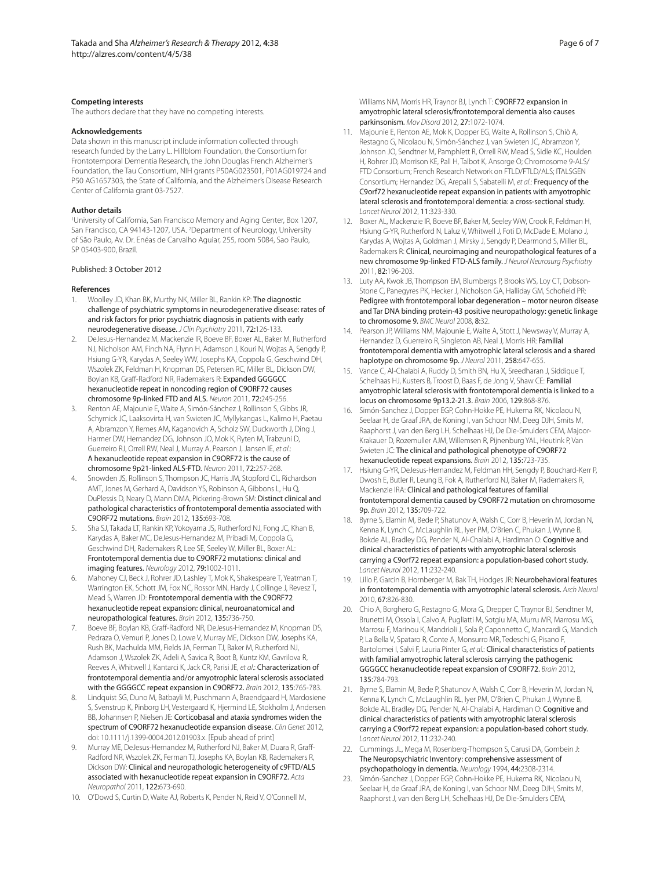#### **Competing interests**

The authors declare that they have no competing interests.

#### **Acknowledgements**

Data shown in this manuscript include information collected through research funded by the Larry L. Hillblom Foundation, the Consortium for Frontotemporal Dementia Research, the John Douglas French Alzheimer's Foundation, the Tau Consortium, NIH grants P50AG023501, P01AG019724 and P50 AG1657303, the State of California, and the Alzheimer's Disease Research Center of California grant 03-7527.

### **Author details**

1 University of California, San Francisco Memory and Aging Center, Box 1207, San Francisco, CA 94143-1207, USA. <sup>2</sup>Department of Neurology, University of São Paulo, Av. Dr. Enéas de Carvalho Aguiar, 255, room 5084, Sao Paulo, SP 05403-900, Brazil.

### Published: 3 October 2012

### **References**

- Woolley JD, Khan BK, Murthy NK, Miller BL, Rankin KP: The diagnostic challenge of psychiatric symptoms in neurodegenerative disease: rates of and risk factors for prior psychiatric diagnosis in patients with early neurodegenerative disease. J Clin Psychiatry 2011, 72:126-133.
- 2. DeJesus-Hernandez M, Mackenzie IR, Boeve BF, Boxer AL, Baker M, Rutherford NJ, Nicholson AM, Finch NA, Flynn H, Adamson J, Kouri N, Wojtas A, Sengdy P, Hsiung G-YR, Karydas A, Seeley WW, Josephs KA, Coppola G, Geschwind DH, Wszolek ZK, Feldman H, Knopman DS, Petersen RC, Miller BL, Dickson DW, Boylan KB, Graff -Radford NR, Rademakers R: Expanded GGGGCC hexanucleotide repeat in noncoding region of C9ORF72 causes chromosome 9p-linked FTD and ALS. Neuron 2011, 72:245-256.
- Renton AE, Majounie E, Waite A, Simón-Sánchez J, Rollinson S, Gibbs JR, Schymick JC, Laaksovirta H, van Swieten JC, Myllykangas L, Kalimo H, Paetau A, Abramzon Y, Remes AM, Kaganovich A, Scholz SW, Duckworth J, Ding J, Harmer DW, Hernandez DG, Johnson JO, Mok K, Ryten M, Trabzuni D, Guerreiro RJ, Orrell RW, Neal J, Murray A, Pearson J, Jansen IE, et al.: A hexanucleotide repeat expansion in C9ORF72 is the cause of chromosome 9p21-linked ALS-FTD. Neuron 2011, 72:257-268.
- 4. Snowden JS, Rollinson S, Thompson JC, Harris JM, Stopford CL, Richardson AMT, Jones M, Gerhard A, Davidson YS, Robinson A, Gibbons L, Hu Q, DuPlessis D, Neary D, Mann DMA, Pickering-Brown SM: Distinct clinical and pathological characteristics of frontotemporal dementia associated with C9ORF72 mutations. Brain 2012, 135:693-708.
- 5. Sha SJ, Takada LT, Rankin KP, Yokoyama JS, Rutherford NJ, Fong JC, Khan B, Karydas A, Baker MC, DeJesus-Hernandez M, Pribadi M, Coppola G, Geschwind DH, Rademakers R, Lee SE, Seeley W, Miller BL, Boxer AL: Frontotemporal dementia due to C9ORF72 mutations: clinical and imaging features. Neurology 2012, 79:1002-1011.
- 6. Mahoney CJ, Beck J, Rohrer JD, Lashley T, Mok K, Shakespeare T, Yeatman T, Warrington EK, Schott JM, Fox NC, Rossor MN, Hardy J, Collinge J, Revesz T, Mead S, Warren JD: Frontotemporal dementia with the C9ORF72 hexanucleotide repeat expansion: clinical, neuroanatomical and neuropathological features. Brain 2012, 135:736-750.
- 7. Boeve BF, Boylan KB, Graff-Radford NR, DeJesus-Hernandez M, Knopman DS, Pedraza O, Vemuri P, Jones D, Lowe V, Murray ME, Dickson DW, Josephs KA, Rush BK, Machulda MM, Fields JA, Ferman TJ, Baker M, Rutherford NJ, Adamson J, Wszolek ZK, Adeli A, Savica R, Boot B, Kuntz KM, Gavrilova R, Reeves A, Whitwell J, Kantarci K, Jack CR, Parisi JE, et al.: Characterization of frontotemporal dementia and/or amyotrophic lateral sclerosis associated with the GGGGCC repeat expansion in C9ORF72. Brain 2012, 135:765-783.
- 8. Lindquist SG, Duno M, Batbayli M, Puschmann A, Braendgaard H, Mardosiene S, Svenstrup K, Pinborg LH, Vestergaard K, Hjermind LE, Stokholm J, Andersen BB, Johannsen P, Nielsen JE: Corticobasal and ataxia syndromes widen the spectrum of C9ORF72 hexanucleotide expansion disease. Clin Genet 2012, doi: 10.1111/j.1399-0004.2012.01903.x. [Epub ahead of print]
- Murray ME, DeJesus-Hernandez M, Rutherford NJ, Baker M, Duara R, Graff-Radford NR, Wszolek ZK, Ferman TJ, Josephs KA, Boylan KB, Rademakers R, Dickson DW: Clinical and neuropathologic heterogeneity of c9FTD/ALS associated with hexanucleotide repeat expansion in C9ORF72. Acta Neuropathol 2011, 122:673-690.
- 10. O'Dowd S, Curtin D, Waite AJ, Roberts K, Pender N, Reid V, O'Connell M,

Williams NM, Morris HR, Traynor BJ, Lynch T: C9ORF72 expansion in amyotrophic lateral sclerosis/frontotemporal dementia also causes parkinsonism. Mov Disord 2012, 27:1072-1074.

- 11. Majounie E, Renton AE, Mok K, Dopper EG, Waite A, Rollinson S, Chiò A, Restagno G, Nicolaou N, Simón-Sánchez J, van Swieten JC, Abramzon Y, Johnson JO, Sendtner M, Pamphlett R, Orrell RW, Mead S, Sidle KC, Houlden H, Rohrer JD, Morrison KE, Pall H, Talbot K, Ansorge O; Chromosome 9-ALS/ FTD Consortium; French Research Network on FTLD/FTLD/ALS; ITALSGEN Consortium; Hernandez DG, Arepalli S, Sabatelli M, et al.: Frequency of the C9orf72 hexanucleotide repeat expansion in patients with amyotrophic lateral sclerosis and frontotemporal dementia: a cross-sectional study. Lancet Neurol 2012, 11:323-330.
- 12. Boxer AL, Mackenzie IR, Boeve BF, Baker M, Seeley WW, Crook R, Feldman H, Hsiung G-YR, Rutherford N, Laluz V, Whitwell J, Foti D, McDade E, Molano J, Karydas A, Wojtas A, Goldman J, Mirsky J, Sengdy P, Dearmond S, Miller BL, Rademakers R: Clinical, neuroimaging and neuropathological features of a new chromosome 9p-linked FTD-ALS family. J Neurol Neurosurg Psychiatry 2011, 82:196-203.
- 13. Luty AA, Kwok JB, Thompson EM, Blumbergs P, Brooks WS, Loy CT, Dobson-Stone C, Panegyres PK, Hecker J, Nicholson GA, Halliday GM, Schofield PR: Pedigree with frontotemporal lobar degeneration – motor neuron disease and Tar DNA binding protein-43 positive neuropathology: genetic linkage to chromosome 9. BMC Neurol 2008, 8:32.
- 14. Pearson JP, Williams NM, Majounie E, Waite A, Stott J, Newsway V, Murray A, Hernandez D, Guerreiro R, Singleton AB, Neal J, Morris HR: Familial frontotemporal dementia with amyotrophic lateral sclerosis and a shared haplotype on chromosome 9p. J Neurol 2011, 258:647-655.
- Vance C, Al-Chalabi A, Ruddy D, Smith BN, Hu X, Sreedharan J, Siddique T, Schelhaas HJ, Kusters B, Troost D, Baas F, de Jong V, Shaw CE: Familial amyotrophic lateral sclerosis with frontotemporal dementia is linked to a locus on chromosome 9p13.2-21.3. Brain 2006, 129:868-876.
- 16. Simón-Sanchez J, Dopper EGP, Cohn-Hokke PE, Hukema RK, Nicolaou N, Seelaar H, de Graaf JRA, de Koning I, van Schoor NM, Deeg DJH, Smits M, Raaphorst J, van den Berg LH, Schelhaas HJ, De Die-Smulders CEM, Majoor-Krakauer D, Rozemuller AJM, Willemsen R, Pijnenburg YAL, Heutink P, Van Swieten JC: The clinical and pathological phenotype of C9ORF72 hexanucleotide repeat expansions. Brain 2012, 135:723-735.
- 17. Hsiung G-YR, DeJesus-Hernandez M, Feldman HH, Sengdy P, Bouchard-Kerr P, Dwosh E, Butler R, Leung B, Fok A, Rutherford NJ, Baker M, Rademakers R, Mackenzie IRA: Clinical and pathological features of familial frontotemporal dementia caused by C9ORF72 mutation on chromosome 9p. Brain 2012, 135:709-722.
- 18. Byrne S, Elamin M, Bede P, Shatunov A, Walsh C, Corr B, Heverin M, Jordan N, Kenna K, Lynch C, McLaughlin RL, Iyer PM, O'Brien C, Phukan J, Wynne B, Bokde AL, Bradley DG, Pender N, Al-Chalabi A, Hardiman O: Cognitive and clinical characteristics of patients with amyotrophic lateral sclerosis carrying a C9orf72 repeat expansion: a population-based cohort study. Lancet Neurol 2012, 11:232-240.
- 19. Lillo P, Garcin B, Hornberger M, Bak TH, Hodges JR: Neurobehavioral features in frontotemporal dementia with amyotrophic lateral sclerosis. Arch Neurol 2010, 67:826-830.
- 20. Chio A, Borghero G, Restagno G, Mora G, Drepper C, Traynor BJ, Sendtner M, Brunetti M, Ossola I, Calvo A, Pugliatti M, Sotgiu MA, Murru MR, Marrosu MG, Marrosu F, Marinou K, Mandrioli J, Sola P, Caponnetto C, Mancardi G, Mandich P, La Bella V, Spataro R, Conte A, Monsurro MR, Tedeschi G, Pisano F, Bartolomei I, Salvi F, Lauria Pinter G, et al.: Clinical characteristics of patients with familial amyotrophic lateral sclerosis carrying the pathogenic GGGGCC hexanucleotide repeat expansion of C9ORF72. Brain 2012, 135:784-793.
- 21. Byrne S, Elamin M, Bede P, Shatunov A, Walsh C, Corr B, Heverin M, Jordan N, Kenna K, Lynch C, McLaughlin RL, Iyer PM, O'Brien C, Phukan J, Wynne B, Bokde AL, Bradley DG, Pender N, Al-Chalabi A, Hardiman O: Cognitive and clinical characteristics of patients with amyotrophic lateral sclerosis carrying a C9orf72 repeat expansion: a population-based cohort study. Lancet Neurol 2012, 11:232-240.
- 22. Cummings JL, Mega M, Rosenberg-Thompson S, Carusi DA, Gombein J: The Neuropsychiatric Inventory: comprehensive assessment of psychopathology in dementia. Neurology 1994, 44:2308-2314.
- 23. Simón-Sanchez J, Dopper EGP, Cohn-Hokke PE, Hukema RK, Nicolaou N, Seelaar H, de Graaf JRA, de Koning I, van Schoor NM, Deeg DJH, Smits M, Raaphorst J, van den Berg LH, Schelhaas HJ, De Die-Smulders CEM,